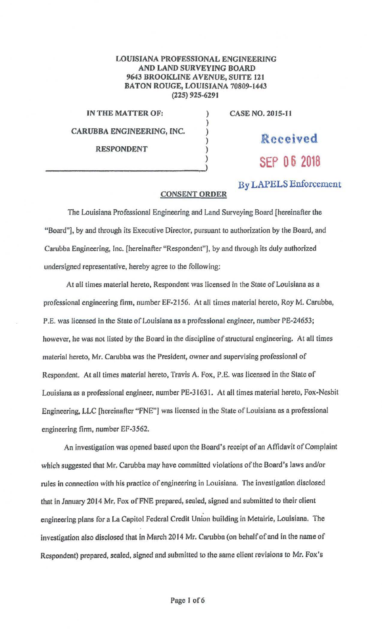## **LOUISIANA PROFESSIONAL ENGINEERING AND LAND SURVEYING BOARD 9643 BROOKLINE AVENUE, SUITE 121 BATON ROUGE, LOUISIANA 70809-1443 (225) 925-629 J**

) ) ) ) ) )

**IN THE MATTER OF: CARUBBA ENGINEERING, INC. RESPONDENT** 

**CASE NO. 2015-11** 

Received SEP 06 2018

By LAPELS Enforcement

## **CONSENT ORDER**

The Louisiana Professional Engineering and Land Surveying Board [hereinafter the "Board"], by and through its Executive Director, pursuant to authorization by the Board, and Carubba Engineering, Inc. [hereinafter "Respondent"], by and through its duly authorized undersigned representative, hereby agree to the following:

At all times material hereto, Respondent was licensed in the State of Louisiana as a professional engineering firm, number EF-2156. At all times material hereto, Roy M. Carubba, P.E. was licensed in the State of Louisiana as a professional engineer, number PE-24653; however, he was not listed by the Board in the discipline of structural engineering. At all times material hereto, Mr. Carubba was the President, owner and supervising professional of Respondent. At all times material hereto, Travis A. Fox, P.E. was licensed in the State of Louisiana as a professional engineer, number PE-31631. At all times material hereto, Fox-Nesbit Engineering, LLC [hereinafter "FNE"] was licensed in the State of Louisiana as a professional engineering firm, number EF-3562.

An investigation was opened based upon the Board's receipt of an Affidavit of Complaint which suggested that Mr. Carubba may have committed violations of the Board's laws and/or rules in connection with his practice of engineering in Louisiana. The investigation disclosed that in January 2014 Mr. Fox ofFNE prepared, sealed, signed and submitted to their client engineering plans for a La Capitol Federal Credit Union building in Metairie, Louisiana. The investigation also disclosed that in March 2014 Mr. Carubba (on behalf of and in the name of Respondent) prepared, sealed, signed and submitted to the same client revisions to Mr. Fox's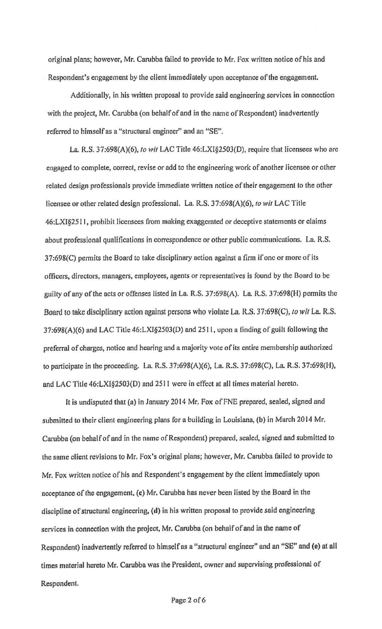original plans; however, Mr. Carubba failed to provide to Mr. Fox written notice of his and Respondent's engagement by the client immediately upon acceptance of the engagement.

Additionally, in his written proposal to provide said engineering services in connection with the project, Mr. Carubba (on behalf of and in the name of Respondent) inadvertently referred to himself as a "structural engineer" and an "SE".

La. **R.S.** 37:698(A)(6), *to wit* LAC Title 46:LXl§2503(D), require that licensees who are engaged to complete, correct, revise or add to the engineering work of another licensee or other related design professionals provide immediate written notice of their engagement to the other licensee or other related design professional. La. R.S. 37:698(A)(6), *to wit* LAC Title 46:LXl§25 l I, prohibit licensees from making exaggerated or deceptive statements or claims about professional qualifications in correspondence or other public communications. La. R.S. 37:698(C) permits the Board to take disciplinary action against a finn if one or more of its officers, directors, managers, employees, agents or representatives is found by the Board to be guilty of any of the acts or offenses listed in La. R.S. 37:698(A). La R.S. 37:698(H) pennits the Board to take disciplinary action against persons who violate La. R.S. 37:698(C), *to wit* La. R.S. 37:698(A)(6) and LAC Title 46:LXI§2503(D) and 251 l, upon a finding of guilt following the preferral of charges, notice and hearing and a majority vote of its entire membership authorized to participate in the proceeding. La R.S. 37:698(A)(6), La. R.S. 37:698(C), La R.S. 37:698(H), and LAC Title 46;LXl§2503(D) and 2511 were in effect at all times material hereto.

It is undisputed that (a) in January 2014 Mr. Fox of FNE prepared, sealed, signed and submitted to their client engineering plans for a building in Louisiana, (b) in March 2014 Mr. Carubba (on behalf of and in the name of Respondent) prepared, sealed, signed and submitted to the same client revisions to Mr. Fox's original plnns; however, Mr. Carubba failed to provide to Mr. Fox written notice of his and Respondent's engagement by the client immediately upon acceptance of the engagement, (c) Mr. Carubba has never been listed by the Board in the discipline of structural engineering. **(d)** in his written proposal to provide said engineering services in connection with the project, Mr. Carubba (on behalf of and in the name of Respondent) inadvertently referred to himself as a "structural engineer" and an "SE" and (e) at all times material hereto Mr. Carubba was the President, owner and supervising professional of Respondent.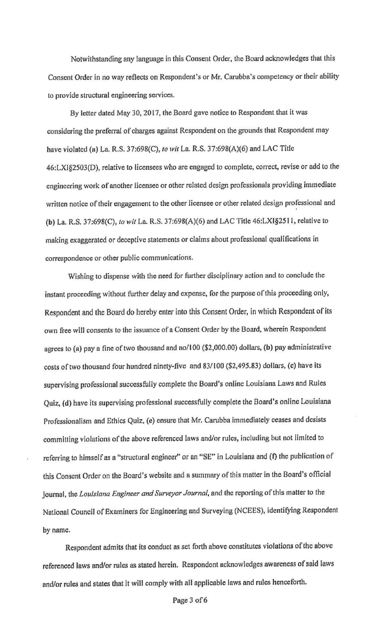Notwithstanding any language in this Consent Order, the Board acknowledges that this Consent Order in no way reflects on Respondent's or Mr. Carubba's competency or their ability to provide structural engineering services.

By letter dated May 30, 2017, the Board gave notice to Respondent that it was considering the preferral of charges against Respondent on the grounds that Respondent may have violated (a) La R.S. 37:698(C), lo *wit* La. R.S. 37:698(A)(6) and LAC Title 46:LX1§2503(D), relative to licensees who are engaged to complete, correct, revise or add to the engineering work of another licensee or other related design professionals providing immediate written notice of their engagement to the other licensee or other related design professional and **(b)** La. R.S. 37:698(C), *to wit* La. R.S. 37:698(A)(6) and LAC Title 46:LXl§2511, relative to making exaggerated or deceptive statements or claims about professional qualifications in correspondence or other public communications.

Wishing to dispense with the need for further disciplinary action and to conclude the instant proceeding without further delay and expense. for the purpose of this proceeding only, Respondent and the Board do hereby enter into this Consent Order, in which Respondent of its own free wilJ consents to the issuance of a Consent Order by the Board, wherein Respondent agrees to (a) pay a fine of two thousand and no/100 (\$2,000.00) dollars, **(b)** pay administrative costs of two thousand four hundred ninety-five and 83/100 (\$2,495.83) dollars, (c) have its supervising professional successfully complete the Board's online Louisiana Laws and Rules Quiz, (d) have its supervising professional successfully complete the Board's onlinc Louisiana Professionalism and Ethics Quiz, (e) ensure that Mr. Carubba immediately ceases and desists committing violations of the above referenced laws and/or rules, including but not limited to referring to himself as a "structural engineer" or an "SE" in Louisiana and (f) the publication of this Consent Order on the Board's website and a summary of this matter in the Board's official journal, the *Louisiana Engineer and Surveyor Journal,* and the reporting of this matter to the National Council of Examiners for Engineering and Surveying (NCEES), identifying Respondent by name.

Respondent admits that its conduct as set forth above constitutes violations of the above referenced laws and/or rules as stated herein. Respondent acknowledges awareness of said laws and/or rules and states that it will comply with all applicable laws and rules henceforth.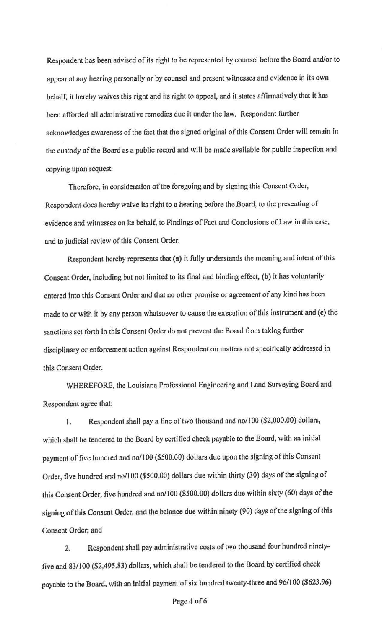Respondent has been advised of its right to be represented by counsel before the Board and/or to appear at any hearing personally or by counsel and present witnesses and evidence in its own behalf, it hereby waives this right and its right to appeal, and it states affinnatively that it has been afforded all administrative remedies due it under the law. Respondent further acknowledges awareness of the fact that the signed original of this Consent Order will remain in the custody of the Board as a public record and will be made available for public inspection and copying upon request.

Therefore, in consideration of the foregoing and by signing this Consent Order, Respondent does hereby waive its right to a hearing before the Boord, to the presenting of evidence and witnesses on its behalf, to Findings of Fact and Conclusions of Law in this case, and to judicial review of this Consent Order.

Respondent hereby represents that (a) it fully understands the meaning and intent of this Consent Order, including but not limited to its final and binding effect, (b) it has voluntarily entered into this Consent Order and that no other promise or agreement of any kind has been made to or with it by any person whatsoever to cause the execution of this instrument and (c) the sanctions set forth in this Consent Order do not prevent the Board from taking further disciplinary or enforcement action against Respondent on matters not specifically addressed in this Consent Order.

WHEREFORE, the Louisiana Professional Engineering and Land Surveying Board and Respondent agree that:

I. Respondent shall pay a fine of two thousand and no/JOO (\$2,000.00) dollars, which shall be tendered to the Board by certified check payable to the Boord, with an initial payment of five hundred and no/JOO (\$500.00) dolJars due upon the signing of this Consent Order, five hundred and no/J 00 (\$500.00) dollars due within thirty (30) days of the signing of this Consent Order, five hundred and no/100 (\$500.00) dollars due within sixty (60) days of the signing of this Consent Order, and the balance due within ninety (90) days of the signing of this Consent Order; and

2. Respondent shall pay administrative costs of two thousand four hundred ninetyfive and 83/100 (\$2,495.83) dollars, which shall be tendered to the Board by certified check payable to the Board, with an initial payment of six hundred twenty-three and 96/100 (\$623.96)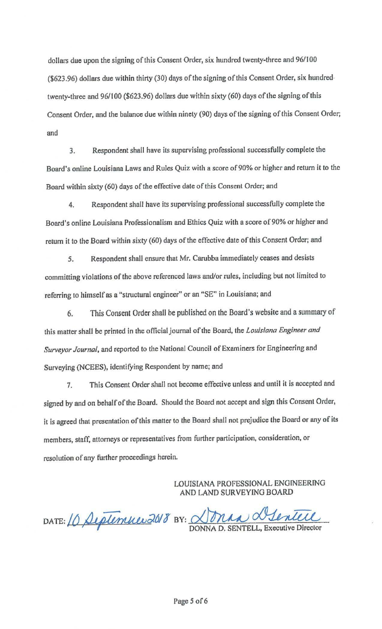dollars due upon the signing of this Consent Order, six hundred twenty-three and 96/100 (\$623.96) dollars due within thirty (30) days of the signing of this Consent Order, six hundredtwenty-three and 96/100 (\$623.96) dollars due within sixty (60) days of the signing of this Consent Order, and the balance due within ninety (90) days of the signing of this Consent Order; and

3. Respondent shall have its supervising professional successfully complete the Board's online Louisiana Laws and Rules Quiz with a score of 90% or higher and return it to the Board within sixty (60) days of the effective date of this Consent Order; and

4. Respondent shall have its supervising professional successfully complete the Board's online Louisiana Professionalism and Ethics Quiz with a score of 90% or higher and return it to the Board within sixty (60) days of the effective date of this Consent Order; and

*5.* Respondent shall ensure that Mr. Carubba immediately ceases and desists committing violations of the above referenced laws and/or rules, including but not limited to referring to himself as a "structural engineer" or an "SE" in Louisiana; and

6. This Consent Order shall be published on the Board's website and a summary of this matter shall be printed in the official journal of the Board, the *Louisiana Engineer and Surveyor Journal.* and reported to the National Council of Examiners for Engineering and Surveying (NCEES), identifying Respondent by name; and

7. This Consent Order shall not become effective unless and until it is accepted and signed by and on behalf of the Board. Should the Board not accept and sign this Consent Order, it is **agreed** that presentation of this matter to the Board shall not prejudice the Board or any of its members, staff, attorneys or representatives from further participation, consideration, or resolution of any further proceedings herein. Turther participation, consideration, or<br>ISIANA PROFESSIONAL ENGINEERING<br>ID LAND SURVEYING BOARD<br>NAA MERICILE

LOUISlANA PROFESSIONAL ENGlNEERING AND LAND SURVEYING BOARD

DATE: 10 September 2018 BY: <u>Nona Alentere</u>